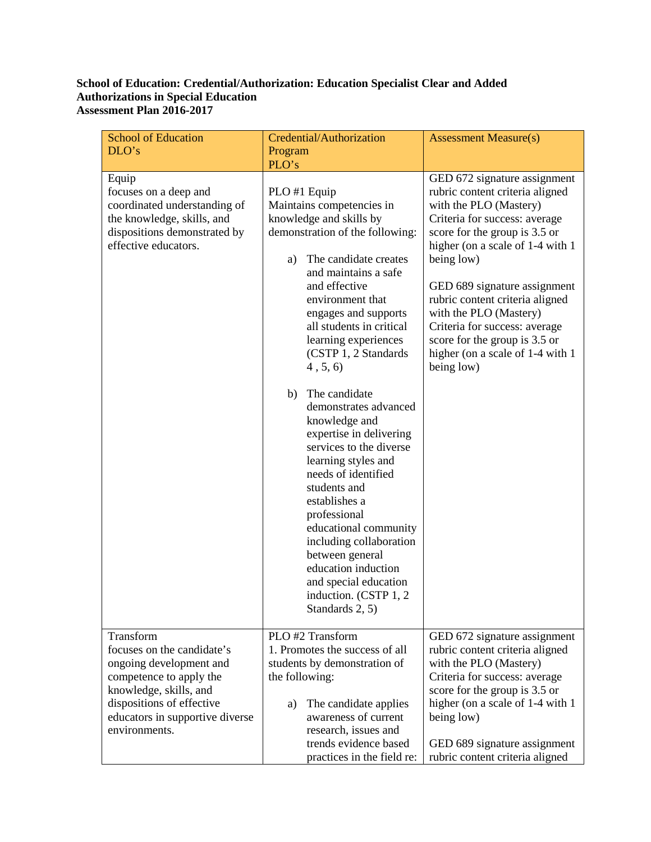## **School of Education: Credential/Authorization: Education Specialist Clear and Added Authorizations in Special Education Assessment Plan 2016-2017**

| <b>School of Education</b><br>DLO's                                                                                                                           | Credential/Authorization<br>Program                                                                                                                                                                                                                                                                                                                                                                                                                                                                                                                                                                                                                                                                                   | <b>Assessment Measure(s)</b>                                                                                                                                                                                                                                                                                                                                                                                                   |
|---------------------------------------------------------------------------------------------------------------------------------------------------------------|-----------------------------------------------------------------------------------------------------------------------------------------------------------------------------------------------------------------------------------------------------------------------------------------------------------------------------------------------------------------------------------------------------------------------------------------------------------------------------------------------------------------------------------------------------------------------------------------------------------------------------------------------------------------------------------------------------------------------|--------------------------------------------------------------------------------------------------------------------------------------------------------------------------------------------------------------------------------------------------------------------------------------------------------------------------------------------------------------------------------------------------------------------------------|
| Equip<br>focuses on a deep and<br>coordinated understanding of<br>the knowledge, skills, and<br>dispositions demonstrated by<br>effective educators.          | PLO's<br>PLO #1 Equip<br>Maintains competencies in<br>knowledge and skills by<br>demonstration of the following:<br>The candidate creates<br>a)<br>and maintains a safe<br>and effective<br>environment that<br>engages and supports<br>all students in critical<br>learning experiences<br>(CSTP 1, 2 Standards<br>4, 5, 6<br>The candidate<br>b)<br>demonstrates advanced<br>knowledge and<br>expertise in delivering<br>services to the diverse<br>learning styles and<br>needs of identified<br>students and<br>establishes a<br>professional<br>educational community<br>including collaboration<br>between general<br>education induction<br>and special education<br>induction. (CSTP 1, 2)<br>Standards 2, 5) | GED 672 signature assignment<br>rubric content criteria aligned<br>with the PLO (Mastery)<br>Criteria for success: average<br>score for the group is 3.5 or<br>higher (on a scale of 1-4 with 1<br>being low)<br>GED 689 signature assignment<br>rubric content criteria aligned<br>with the PLO (Mastery)<br>Criteria for success: average<br>score for the group is 3.5 or<br>higher (on a scale of 1-4 with 1<br>being low) |
| Transform<br>focuses on the candidate's                                                                                                                       | PLO #2 Transform<br>1. Promotes the success of all                                                                                                                                                                                                                                                                                                                                                                                                                                                                                                                                                                                                                                                                    | GED 672 signature assignment<br>rubric content criteria aligned                                                                                                                                                                                                                                                                                                                                                                |
| ongoing development and<br>competence to apply the<br>knowledge, skills, and<br>dispositions of effective<br>educators in supportive diverse<br>environments. | students by demonstration of<br>the following:<br>The candidate applies<br>a)<br>awareness of current<br>research, issues and<br>trends evidence based                                                                                                                                                                                                                                                                                                                                                                                                                                                                                                                                                                | with the PLO (Mastery)<br>Criteria for success: average<br>score for the group is 3.5 or<br>higher (on a scale of 1-4 with 1<br>being low)<br>GED 689 signature assignment                                                                                                                                                                                                                                                     |
|                                                                                                                                                               | practices in the field re:                                                                                                                                                                                                                                                                                                                                                                                                                                                                                                                                                                                                                                                                                            | rubric content criteria aligned                                                                                                                                                                                                                                                                                                                                                                                                |